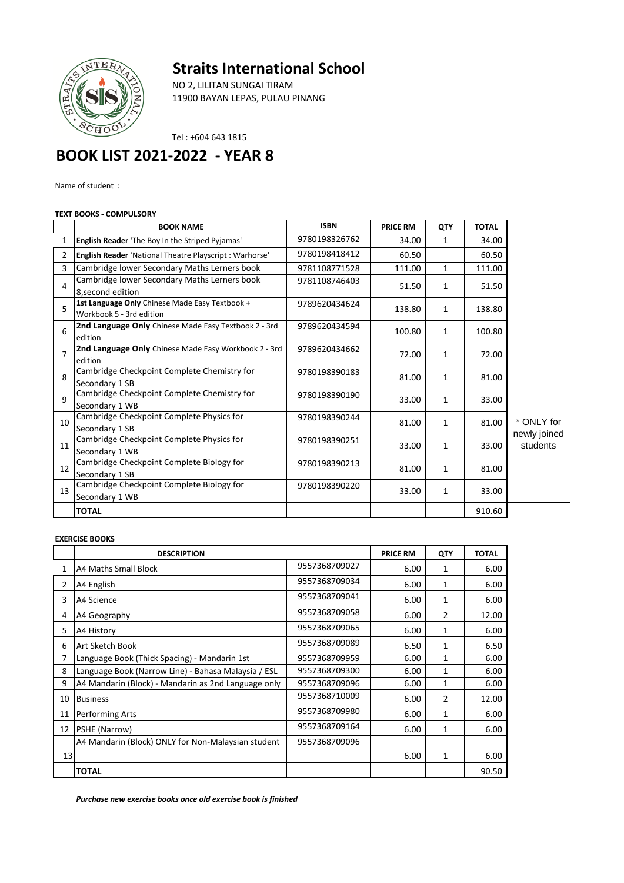## **Straits International School**



NO 2, LILITAN SUNGAI TIRAM 11900 BAYAN LEPAS, PULAU PINANG

Tel : +604 643 1815

## **BOOK LIST 2021-2022 - YEAR 8**

Name of student :

## **TEXT BOOKS - COMPULSORY**

|                | <b>BOOK NAME</b>                                                           | <b>ISBN</b>   | <b>PRICE RM</b> | QTY          | <b>TOTAL</b> |                          |
|----------------|----------------------------------------------------------------------------|---------------|-----------------|--------------|--------------|--------------------------|
| 1              | <b>English Reader</b> 'The Boy In the Striped Pyjamas'                     | 9780198326762 | 34.00           | 1            | 34.00        |                          |
| 2              | <b>English Reader</b> 'National Theatre Playscript : Warhorse'             | 9780198418412 | 60.50           |              | 60.50        |                          |
| 3              | Cambridge lower Secondary Maths Lerners book                               | 9781108771528 | 111.00          | $\mathbf{1}$ | 111.00       |                          |
| 4              | Cambridge lower Secondary Maths Lerners book<br>8, second edition          | 9781108746403 | 51.50           | 1            | 51.50        |                          |
| 5              | 1st Language Only Chinese Made Easy Textbook +<br>Workbook 5 - 3rd edition | 9789620434624 | 138.80          | 1            | 138.80       |                          |
| 6              | <b>2nd Language Only</b> Chinese Made Easy Textbook 2 - 3rd<br>edition     | 9789620434594 | 100.80          | $\mathbf{1}$ | 100.80       |                          |
| $\overline{7}$ | 2nd Language Only Chinese Made Easy Workbook 2 - 3rd<br>edition            | 9789620434662 | 72.00           | $\mathbf{1}$ | 72.00        |                          |
| 8              | Cambridge Checkpoint Complete Chemistry for<br>Secondary 1 SB              | 9780198390183 | 81.00           | 1            | 81.00        |                          |
| $\mathsf{q}$   | Cambridge Checkpoint Complete Chemistry for<br>Secondary 1 WB              | 9780198390190 | 33.00           | 1            | 33.00        |                          |
| 10             | Cambridge Checkpoint Complete Physics for<br>Secondary 1 SB                | 9780198390244 | 81.00           | $\mathbf{1}$ | 81.00        | * ONLY for               |
| 11             | Cambridge Checkpoint Complete Physics for<br>Secondary 1 WB                | 9780198390251 | 33.00           | $\mathbf{1}$ | 33.00        | newly joined<br>students |
| 12             | Cambridge Checkpoint Complete Biology for<br>Secondary 1 SB                | 9780198390213 | 81.00           | $\mathbf{1}$ | 81.00        |                          |
| 13             | Cambridge Checkpoint Complete Biology for<br>Secondary 1 WB                | 9780198390220 | 33.00           | $\mathbf{1}$ | 33.00        |                          |
|                | <b>TOTAL</b>                                                               |               |                 |              | 910.60       |                          |

## **EXERCISE BOOKS**

|                | <b>DESCRIPTION</b>                                  |               | <b>PRICE RM</b> | QTY          | <b>TOTAL</b> |
|----------------|-----------------------------------------------------|---------------|-----------------|--------------|--------------|
| 1              | A4 Maths Small Block                                | 9557368709027 | 6.00            | 1            | 6.00         |
| $\overline{2}$ | A4 English                                          | 9557368709034 | 6.00            | 1            | 6.00         |
| 3              | A4 Science                                          | 9557368709041 | 6.00            | 1            | 6.00         |
| 4              | A4 Geography                                        | 9557368709058 | 6.00            | 2            | 12.00        |
| 5              | A4 History                                          | 9557368709065 | 6.00            | 1            | 6.00         |
| 6              | Art Sketch Book                                     | 9557368709089 | 6.50            | 1            | 6.50         |
| 7              | Language Book (Thick Spacing) - Mandarin 1st        | 9557368709959 | 6.00            | $\mathbf{1}$ | 6.00         |
| 8              | Language Book (Narrow Line) - Bahasa Malaysia / ESL | 9557368709300 | 6.00            | $\mathbf{1}$ | 6.00         |
| 9              | A4 Mandarin (Block) - Mandarin as 2nd Language only | 9557368709096 | 6.00            | 1            | 6.00         |
| 10             | <b>Business</b>                                     | 9557368710009 | 6.00            | 2            | 12.00        |
| 11             | Performing Arts                                     | 9557368709980 | 6.00            | 1            | 6.00         |
| 12             | <b>PSHE (Narrow)</b>                                | 9557368709164 | 6.00            | 1            | 6.00         |
|                | A4 Mandarin (Block) ONLY for Non-Malaysian student  | 9557368709096 |                 |              |              |
| 13             |                                                     |               | 6.00            | 1            | 6.00         |
|                | <b>TOTAL</b>                                        |               |                 |              | 90.50        |